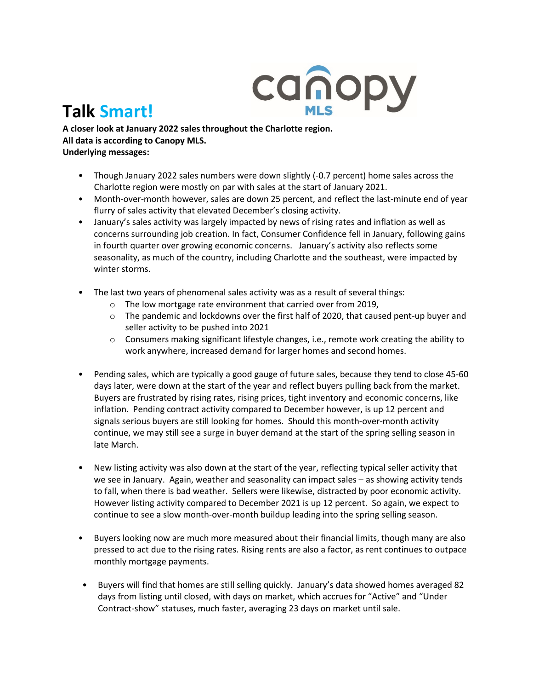

## **Talk Smart!**

**A closer look at January 2022 sales throughout the Charlotte region. All data is according to Canopy MLS. Underlying messages:** 

- Though January 2022 sales numbers were down slightly (-0.7 percent) home sales across the Charlotte region were mostly on par with sales at the start of January 2021.
- Month-over-month however, sales are down 25 percent, and reflect the last-minute end of year flurry of sales activity that elevated December's closing activity.
- January's sales activity was largely impacted by news of rising rates and inflation as well as concerns surrounding job creation. In fact, Consumer Confidence fell in January, following gains in fourth quarter over growing economic concerns. January's activity also reflects some seasonality, as much of the country, including Charlotte and the southeast, were impacted by winter storms.
- The last two years of phenomenal sales activity was as a result of several things:
	- o The low mortgage rate environment that carried over from 2019,
	- $\circ$  The pandemic and lockdowns over the first half of 2020, that caused pent-up buyer and seller activity to be pushed into 2021
	- o Consumers making significant lifestyle changes, i.e., remote work creating the ability to work anywhere, increased demand for larger homes and second homes.
- Pending sales, which are typically a good gauge of future sales, because they tend to close 45-60 days later, were down at the start of the year and reflect buyers pulling back from the market. Buyers are frustrated by rising rates, rising prices, tight inventory and economic concerns, like inflation. Pending contract activity compared to December however, is up 12 percent and signals serious buyers are still looking for homes. Should this month-over-month activity continue, we may still see a surge in buyer demand at the start of the spring selling season in late March.
- New listing activity was also down at the start of the year, reflecting typical seller activity that we see in January. Again, weather and seasonality can impact sales – as showing activity tends to fall, when there is bad weather. Sellers were likewise, distracted by poor economic activity. However listing activity compared to December 2021 is up 12 percent. So again, we expect to continue to see a slow month-over-month buildup leading into the spring selling season.
- Buyers looking now are much more measured about their financial limits, though many are also pressed to act due to the rising rates. Rising rents are also a factor, as rent continues to outpace monthly mortgage payments.
- Buyers will find that homes are still selling quickly. January's data showed homes averaged 82 days from listing until closed, with days on market, which accrues for "Active" and "Under Contract-show" statuses, much faster, averaging 23 days on market until sale.